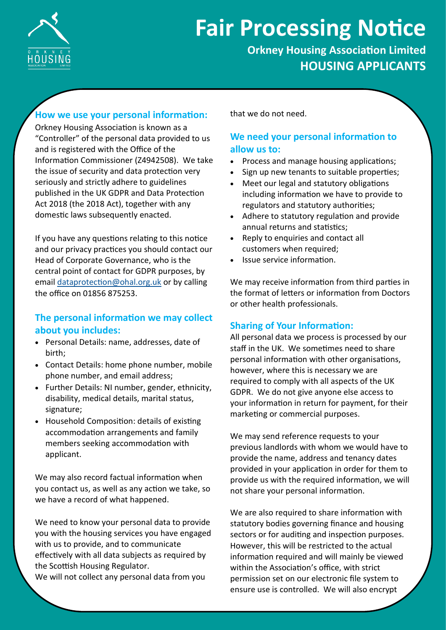

# **Fair Processing Notice**

**Orkney Housing Association Limited HOUSING APPLICANTS**

# **How we use your personal information:**

Orkney Housing Association is known as a "Controller" of the personal data provided to us and is registered with the Office of the Information Commissioner (Z4942508). We take the issue of security and data protection very seriously and strictly adhere to guidelines published in the UK GDPR and Data Protection Act 2018 (the 2018 Act), together with any domestic laws subsequently enacted.

If you have any questions relating to this notice and our privacy practices you should contact our Head of Corporate Governance, who is the central point of contact for GDPR purposes, by email [dataprotection@ohal.org.uk](mailto:dataprotection@ohal.org.uk) or by calling the office on 01856 875253.

# **The personal information we may collect about you includes:**

- Personal Details: name, addresses, date of birth;
- Contact Details: home phone number, mobile phone number, and email address;
- Further Details: NI number, gender, ethnicity, disability, medical details, marital status, signature;
- Household Composition: details of existing accommodation arrangements and family members seeking accommodation with applicant.

We may also record factual information when you contact us, as well as any action we take, so we have a record of what happened.

We need to know your personal data to provide you with the housing services you have engaged with us to provide, and to communicate effectively with all data subjects as required by the Scottish Housing Regulator.

We will not collect any personal data from you

that we do not need.

## **We need your personal information to allow us to:**

- Process and manage housing applications;
- Sign up new tenants to suitable properties;
- Meet our legal and statutory obligations including information we have to provide to regulators and statutory authorities;
- Adhere to statutory regulation and provide annual returns and statistics;
- Reply to enquiries and contact all customers when required;
- Issue service information.

We may receive information from third parties in the format of letters or information from Doctors or other health professionals.

## **Sharing of Your Information:**

All personal data we process is processed by our staff in the UK. We sometimes need to share personal information with other organisations, however, where this is necessary we are required to comply with all aspects of the UK GDPR. We do not give anyone else access to your information in return for payment, for their marketing or commercial purposes.

We may send reference requests to your previous landlords with whom we would have to provide the name, address and tenancy dates provided in your application in order for them to provide us with the required information, we will not share your personal information.

We are also required to share information with statutory bodies governing finance and housing sectors or for auditing and inspection purposes. However, this will be restricted to the actual information required and will mainly be viewed within the Association's office, with strict permission set on our electronic file system to ensure use is controlled. We will also encrypt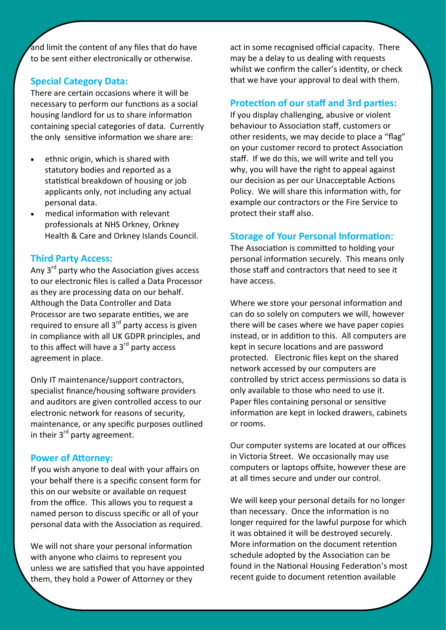and limit the content of any files that do have to be sent either electronically or otherwise.

## **Special Category Data:**

There are certain occasions where it will be necessary to perform our functions as a social housing landlord for us to share information containing special categories of data. Currently the only sensitive information we share are:

- ethnic origin, which is shared with statutory bodies and reported as a statistical breakdown of housing or job applicants only, not including any actual personal data.
- medical information with relevant professionals at NHS Orkney, Orkney Health & Care and Orkney Islands Council.

#### **Third Party Access:**

Any 3<sup>rd</sup> party who the Association gives access to our electronic files is called a Data Processor as they are processing data on our behalf. Although the Data Controller and Data Processor are two separate entities, we are required to ensure all 3<sup>rd</sup> party access is given in compliance with all UK GDPR principles, and to this affect will have a  $3<sup>rd</sup>$  party access agreement in place.

Only IT maintenance/support contractors, specialist finance/housing software providers and auditors are given controlled access to our electronic network for reasons of security, maintenance, or any specific purposes outlined in their  $3<sup>rd</sup>$  party agreement.

#### **Power of Attorney:**

If you wish anyone to deal with your affairs on your behalf there is a specific consent form for this on our website or available on request from the office. This allows you to request a named person to discuss specific or all of your personal data with the Association as required.

We will not share your personal information with anyone who claims to represent you unless we are satisfied that you have appointed them, they hold a Power of Attorney or they

act in some recognised official capacity. There may be a delay to us dealing with requests whilst we confirm the caller's identity, or check that we have your approval to deal with them.

## **Protection of our staff and 3rd parties:**

If you display challenging, abusive or violent behaviour to Association staff, customers or other residents, we may decide to place a "flag" on your customer record to protect Association staff. If we do this, we will write and tell you why, you will have the right to appeal against our decision as per our Unacceptable Actions Policy. We will share this information with, for example our contractors or the Fire Service to protect their staff also.

## **Storage of Your Personal Information:**

The Association is committed to holding your personal information securely. This means only those staff and contractors that need to see it have access.

Where we store your personal information and can do so solely on computers we will, however there will be cases where we have paper copies instead, or in addition to this. All computers are kept in secure locations and are password protected. Electronic files kept on the shared network accessed by our computers are controlled by strict access permissions so data is only available to those who need to use it. Paper files containing personal or sensitive information are kept in locked drawers, cabinets or rooms.

Our computer systems are located at our offices in Victoria Street. We occasionally may use computers or laptops offsite, however these are at all times secure and under our control.

We will keep your personal details for no longer than necessary. Once the information is no longer required for the lawful purpose for which it was obtained it will be destroyed securely. More information on the document retention schedule adopted by the Association can be found in the National Housing Federation's most recent guide to document retention available